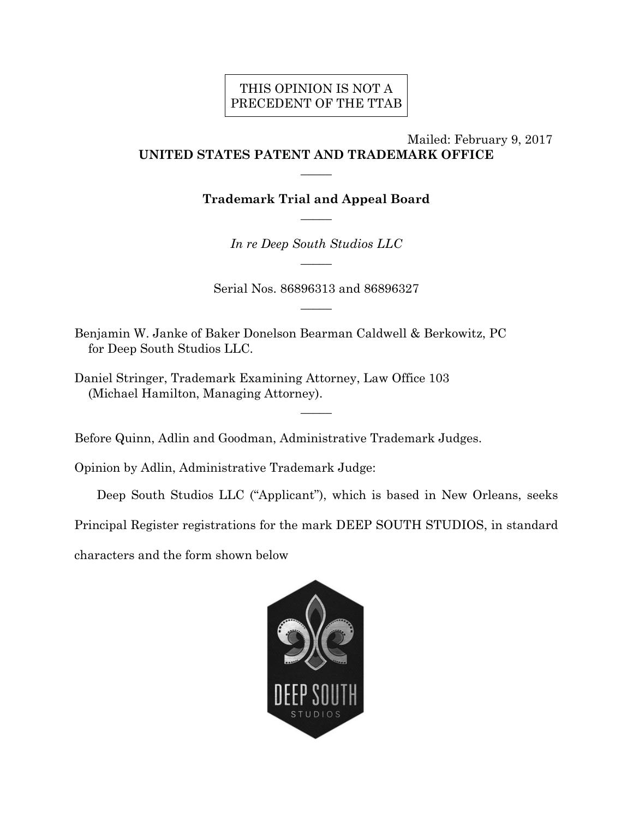# THIS OPINION IS NOT A PRECEDENT OF THE TTAB

## Mailed: February 9, 2017 **UNITED STATES PATENT AND TRADEMARK OFFICE**

**Trademark Trial and Appeal Board**   $\overline{\phantom{a}}$ 

 $\overline{\phantom{a}}$ 

*In re Deep South Studios LLC*   $\overline{\phantom{a}}$ 

Serial Nos. 86896313 and 86896327  $\overline{\phantom{a}}$ 

Benjamin W. Janke of Baker Donelson Bearman Caldwell & Berkowitz, PC for Deep South Studios LLC.

Daniel Stringer, Trademark Examining Attorney, Law Office 103 (Michael Hamilton, Managing Attorney).

Before Quinn, Adlin and Goodman, Administrative Trademark Judges.

Opinion by Adlin, Administrative Trademark Judge:

Deep South Studios LLC ("Applicant"), which is based in New Orleans, seeks

Principal Register registrations for the mark DEEP SOUTH STUDIOS, in standard

 $\overline{\phantom{a}}$ 

characters and the form shown below

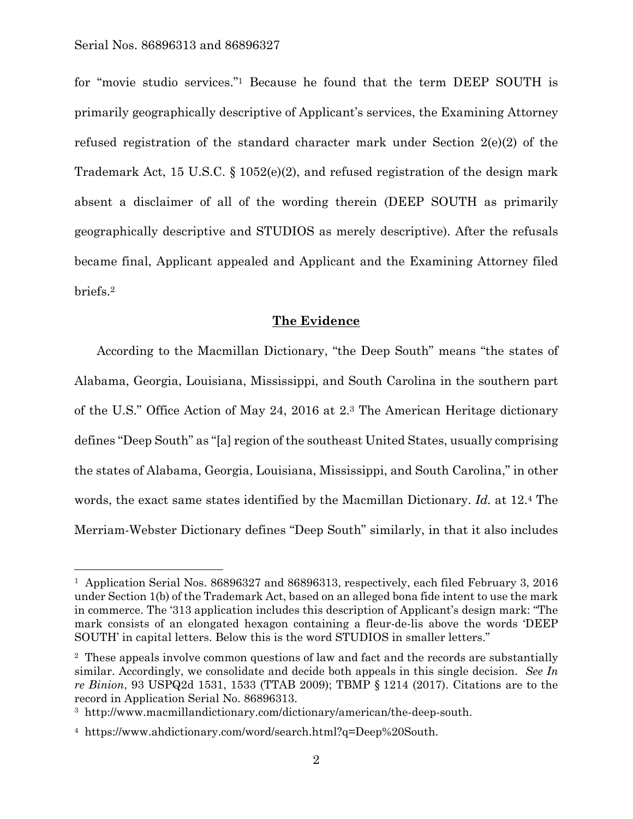l

for "movie studio services."1 Because he found that the term DEEP SOUTH is primarily geographically descriptive of Applicant's services, the Examining Attorney refused registration of the standard character mark under Section 2(e)(2) of the Trademark Act, 15 U.S.C.  $\S$  1052(e)(2), and refused registration of the design mark absent a disclaimer of all of the wording therein (DEEP SOUTH as primarily geographically descriptive and STUDIOS as merely descriptive). After the refusals became final, Applicant appealed and Applicant and the Examining Attorney filed briefs.2

### **The Evidence**

According to the Macmillan Dictionary, "the Deep South" means "the states of Alabama, Georgia, Louisiana, Mississippi, and South Carolina in the southern part of the U.S." Office Action of May 24, 2016 at 2.3 The American Heritage dictionary defines "Deep South" as "[a] region of the southeast United States, usually comprising the states of Alabama, Georgia, Louisiana, Mississippi, and South Carolina," in other words, the exact same states identified by the Macmillan Dictionary. *Id.* at 12.4 The Merriam-Webster Dictionary defines "Deep South" similarly, in that it also includes

<sup>1</sup> Application Serial Nos. 86896327 and 86896313, respectively, each filed February 3, 2016 under Section 1(b) of the Trademark Act, based on an alleged bona fide intent to use the mark in commerce. The '313 application includes this description of Applicant's design mark: "The mark consists of an elongated hexagon containing a fleur-de-lis above the words 'DEEP SOUTH' in capital letters. Below this is the word STUDIOS in smaller letters."

<sup>2</sup> These appeals involve common questions of law and fact and the records are substantially similar. Accordingly, we consolidate and decide both appeals in this single decision. *See In re Binion*, 93 USPQ2d 1531, 1533 (TTAB 2009); TBMP § 1214 (2017). Citations are to the record in Application Serial No. 86896313.

<sup>3</sup> http://www.macmillandictionary.com/dictionary/american/the-deep-south.

<sup>4</sup> https://www.ahdictionary.com/word/search.html?q=Deep%20South.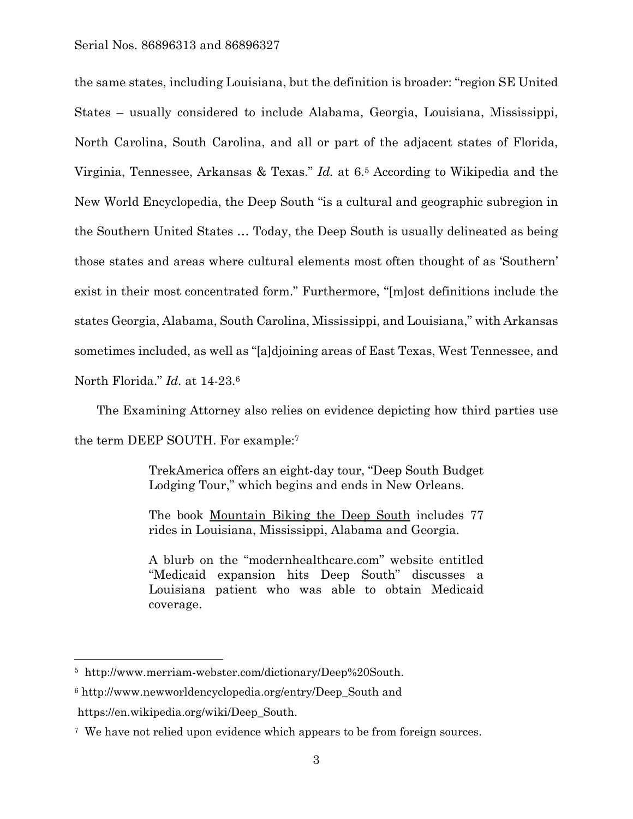the same states, including Louisiana, but the definition is broader: "region SE United States – usually considered to include Alabama, Georgia, Louisiana, Mississippi, North Carolina, South Carolina, and all or part of the adjacent states of Florida, Virginia, Tennessee, Arkansas & Texas." *Id.* at 6.5 According to Wikipedia and the New World Encyclopedia, the Deep South "is a cultural and geographic subregion in the Southern United States … Today, the Deep South is usually delineated as being those states and areas where cultural elements most often thought of as 'Southern' exist in their most concentrated form." Furthermore, "[m]ost definitions include the states Georgia, Alabama, South Carolina, Mississippi, and Louisiana," with Arkansas sometimes included, as well as "[a]djoining areas of East Texas, West Tennessee, and North Florida." *Id.* at 14-23.6

The Examining Attorney also relies on evidence depicting how third parties use the term DEEP SOUTH. For example:7

> TrekAmerica offers an eight-day tour, "Deep South Budget Lodging Tour," which begins and ends in New Orleans.

> The book Mountain Biking the Deep South includes 77 rides in Louisiana, Mississippi, Alabama and Georgia.

> A blurb on the "modernhealthcare.com" website entitled "Medicaid expansion hits Deep South" discusses a Louisiana patient who was able to obtain Medicaid coverage.

 $\overline{a}$ 

<sup>5</sup> http://www.merriam-webster.com/dictionary/Deep%20South.

<sup>6</sup> http://www.newworldencyclopedia.org/entry/Deep\_South and https://en.wikipedia.org/wiki/Deep\_South.

<sup>7</sup> We have not relied upon evidence which appears to be from foreign sources.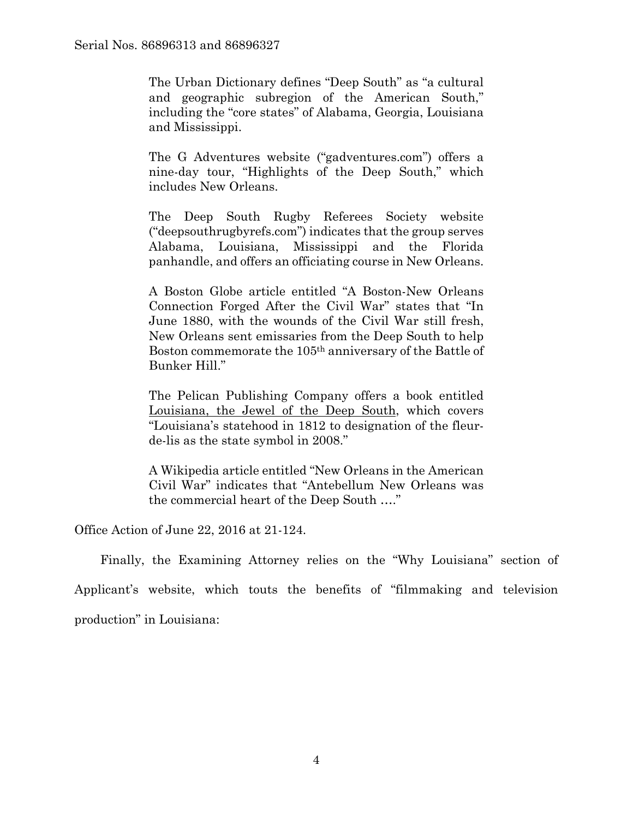The Urban Dictionary defines "Deep South" as "a cultural and geographic subregion of the American South," including the "core states" of Alabama, Georgia, Louisiana and Mississippi.

The G Adventures website ("gadventures.com") offers a nine-day tour, "Highlights of the Deep South," which includes New Orleans.

The Deep South Rugby Referees Society website ("deepsouthrugbyrefs.com") indicates that the group serves Alabama, Louisiana, Mississippi and the Florida panhandle, and offers an officiating course in New Orleans.

A Boston Globe article entitled "A Boston-New Orleans Connection Forged After the Civil War" states that "In June 1880, with the wounds of the Civil War still fresh, New Orleans sent emissaries from the Deep South to help Boston commemorate the 105th anniversary of the Battle of Bunker Hill."

The Pelican Publishing Company offers a book entitled Louisiana, the Jewel of the Deep South, which covers "Louisiana's statehood in 1812 to designation of the fleurde-lis as the state symbol in 2008."

A Wikipedia article entitled "New Orleans in the American Civil War" indicates that "Antebellum New Orleans was the commercial heart of the Deep South …."

Office Action of June 22, 2016 at 21-124.

 Finally, the Examining Attorney relies on the "Why Louisiana" section of Applicant's website, which touts the benefits of "filmmaking and television production" in Louisiana: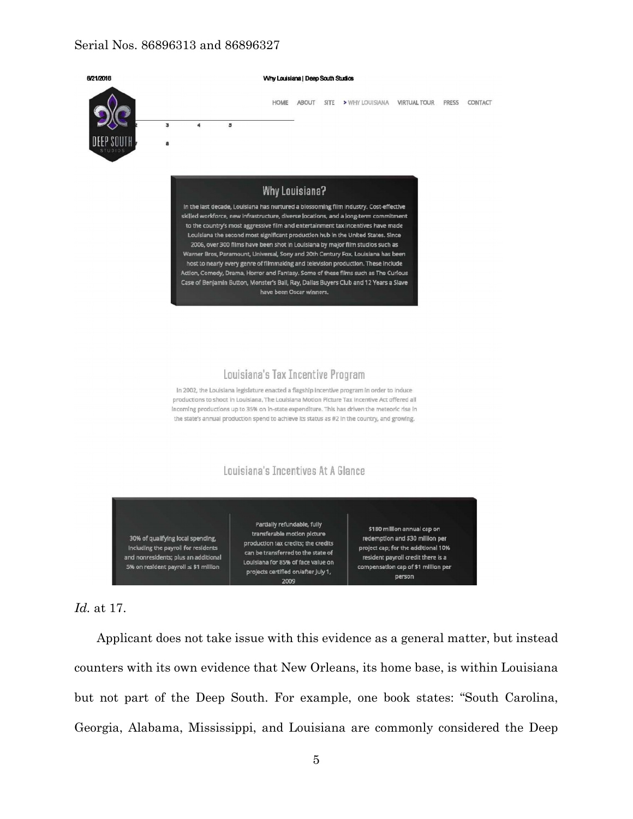

## *Id.* at 17.

Applicant does not take issue with this evidence as a general matter, but instead counters with its own evidence that New Orleans, its home base, is within Louisiana but not part of the Deep South. For example, one book states: "South Carolina, Georgia, Alabama, Mississippi, and Louisiana are commonly considered the Deep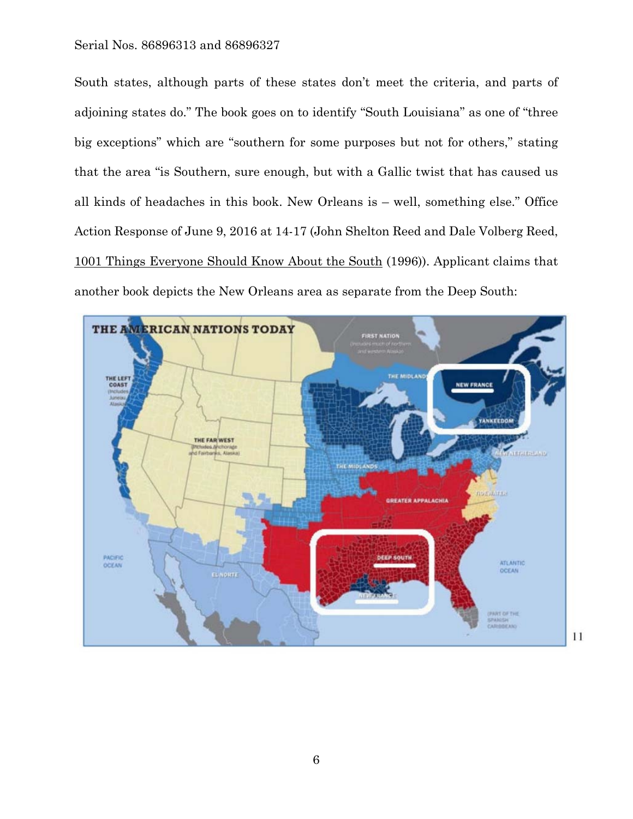South states, although parts of these states don't meet the criteria, and parts of adjoining states do." The book goes on to identify "South Louisiana" as one of "three big exceptions" which are "southern for some purposes but not for others," stating that the area "is Southern, sure enough, but with a Gallic twist that has caused us all kinds of headaches in this book. New Orleans is – well, something else." Office Action Response of June 9, 2016 at 14-17 (John Shelton Reed and Dale Volberg Reed, 1001 Things Everyone Should Know About the South (1996)). Applicant claims that another book depicts the New Orleans area as separate from the Deep South:

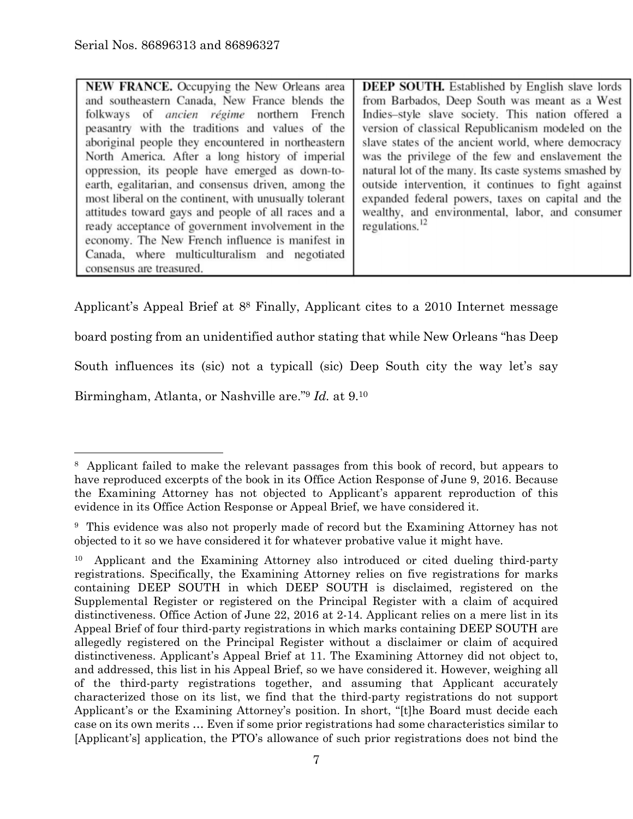| <b>NEW FRANCE.</b> Occupying the New Orleans area      | <b>DEEP SOUTH.</b> Established by English slave lords |
|--------------------------------------------------------|-------------------------------------------------------|
| and southeastern Canada, New France blends the         | from Barbados, Deep South was meant as a West         |
| folkways of <i>ancien régime</i> northern French       | Indies-style slave society. This nation offered a     |
| peasantry with the traditions and values of the        | version of classical Republicanism modeled on the     |
| aboriginal people they encountered in northeastern     | slave states of the ancient world, where democracy    |
| North America. After a long history of imperial        | was the privilege of the few and enslavement the      |
| oppression, its people have emerged as down-to-        | natural lot of the many. Its caste systems smashed by |
| earth, egalitarian, and consensus driven, among the    | outside intervention, it continues to fight against   |
| most liberal on the continent, with unusually tolerant | expanded federal powers, taxes on capital and the     |
| attitudes toward gays and people of all races and a    | wealthy, and environmental, labor, and consumer       |
| ready acceptance of government involvement in the      | regulations. $^{12}$                                  |
| economy. The New French influence is manifest in       |                                                       |
| Canada, where multiculturalism and negotiated          |                                                       |
| consensus are treasured.                               |                                                       |

Applicant's Appeal Brief at 88 Finally, Applicant cites to a 2010 Internet message

board posting from an unidentified author stating that while New Orleans "has Deep

South influences its (sic) not a typicall (sic) Deep South city the way let's say

Birmingham, Atlanta, or Nashville are."9 *Id.* at 9.10

 $\overline{a}$ 

<sup>8</sup> Applicant failed to make the relevant passages from this book of record, but appears to have reproduced excerpts of the book in its Office Action Response of June 9, 2016. Because the Examining Attorney has not objected to Applicant's apparent reproduction of this evidence in its Office Action Response or Appeal Brief, we have considered it.

<sup>9</sup> This evidence was also not properly made of record but the Examining Attorney has not objected to it so we have considered it for whatever probative value it might have.

<sup>10</sup> Applicant and the Examining Attorney also introduced or cited dueling third-party registrations. Specifically, the Examining Attorney relies on five registrations for marks containing DEEP SOUTH in which DEEP SOUTH is disclaimed, registered on the Supplemental Register or registered on the Principal Register with a claim of acquired distinctiveness. Office Action of June 22, 2016 at 2-14. Applicant relies on a mere list in its Appeal Brief of four third-party registrations in which marks containing DEEP SOUTH are allegedly registered on the Principal Register without a disclaimer or claim of acquired distinctiveness. Applicant's Appeal Brief at 11. The Examining Attorney did not object to, and addressed, this list in his Appeal Brief, so we have considered it. However, weighing all of the third-party registrations together, and assuming that Applicant accurately characterized those on its list, we find that the third-party registrations do not support Applicant's or the Examining Attorney's position. In short, "[t]he Board must decide each case on its own merits … Even if some prior registrations had some characteristics similar to [Applicant's] application, the PTO's allowance of such prior registrations does not bind the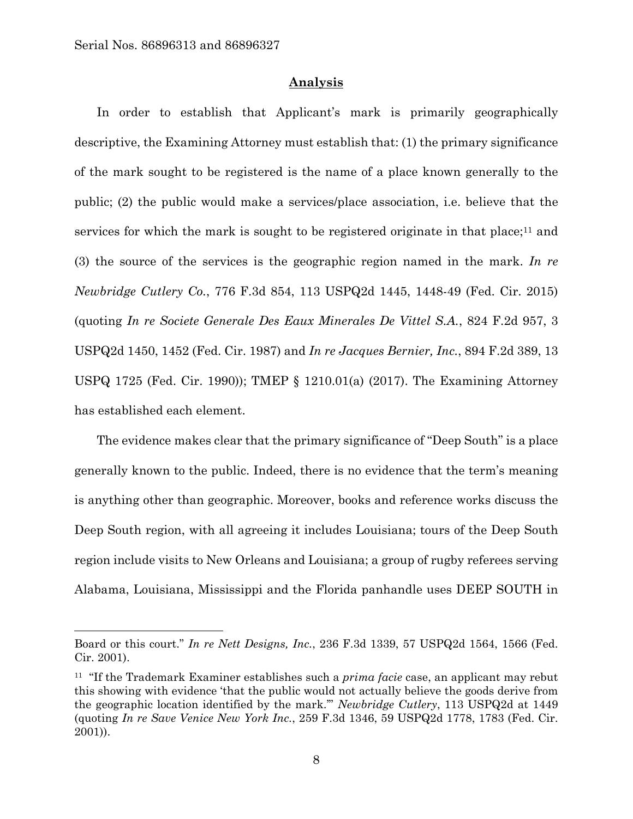$\overline{a}$ 

#### **Analysis**

In order to establish that Applicant's mark is primarily geographically descriptive, the Examining Attorney must establish that: (1) the primary significance of the mark sought to be registered is the name of a place known generally to the public; (2) the public would make a services/place association, i.e. believe that the services for which the mark is sought to be registered originate in that place;<sup>11</sup> and (3) the source of the services is the geographic region named in the mark. *In re Newbridge Cutlery Co.*, 776 F.3d 854, 113 USPQ2d 1445, 1448-49 (Fed. Cir. 2015) (quoting *In re Societe Generale Des Eaux Minerales De Vittel S.A.*, 824 F.2d 957, 3 USPQ2d 1450, 1452 (Fed. Cir. 1987) and *In re Jacques Bernier, Inc.*, 894 F.2d 389, 13 USPQ 1725 (Fed. Cir. 1990)); TMEP § 1210.01(a) (2017). The Examining Attorney has established each element.

The evidence makes clear that the primary significance of "Deep South" is a place generally known to the public. Indeed, there is no evidence that the term's meaning is anything other than geographic. Moreover, books and reference works discuss the Deep South region, with all agreeing it includes Louisiana; tours of the Deep South region include visits to New Orleans and Louisiana; a group of rugby referees serving Alabama, Louisiana, Mississippi and the Florida panhandle uses DEEP SOUTH in

Board or this court." *In re Nett Designs, Inc.*, 236 F.3d 1339, 57 USPQ2d 1564, 1566 (Fed. Cir. 2001).

<sup>11 &</sup>quot;If the Trademark Examiner establishes such a *prima facie* case, an applicant may rebut this showing with evidence 'that the public would not actually believe the goods derive from the geographic location identified by the mark.'" *Newbridge Cutlery*, 113 USPQ2d at 1449 (quoting *In re Save Venice New York Inc.*, 259 F.3d 1346, 59 USPQ2d 1778, 1783 (Fed. Cir. 2001)).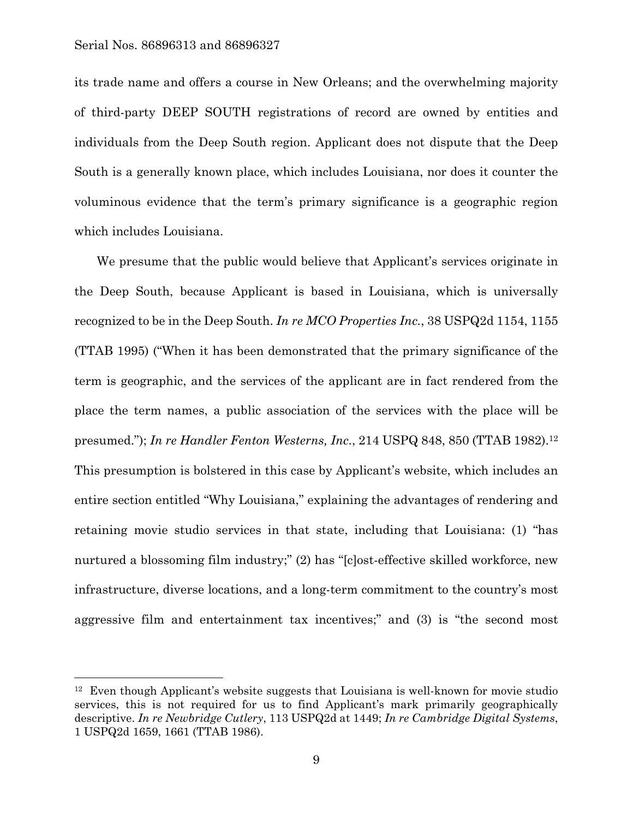1

its trade name and offers a course in New Orleans; and the overwhelming majority of third-party DEEP SOUTH registrations of record are owned by entities and individuals from the Deep South region. Applicant does not dispute that the Deep South is a generally known place, which includes Louisiana, nor does it counter the voluminous evidence that the term's primary significance is a geographic region which includes Louisiana.

We presume that the public would believe that Applicant's services originate in the Deep South, because Applicant is based in Louisiana, which is universally recognized to be in the Deep South. *In re MCO Properties Inc.*, 38 USPQ2d 1154, 1155 (TTAB 1995) ("When it has been demonstrated that the primary significance of the term is geographic, and the services of the applicant are in fact rendered from the place the term names, a public association of the services with the place will be presumed."); *In re Handler Fenton Westerns, Inc.*, 214 USPQ 848, 850 (TTAB 1982).12 This presumption is bolstered in this case by Applicant's website, which includes an entire section entitled "Why Louisiana," explaining the advantages of rendering and retaining movie studio services in that state, including that Louisiana: (1) "has nurtured a blossoming film industry;" (2) has "[c]ost-effective skilled workforce, new infrastructure, diverse locations, and a long-term commitment to the country's most aggressive film and entertainment tax incentives;" and (3) is "the second most

<sup>&</sup>lt;sup>12</sup> Even though Applicant's website suggests that Louisiana is well-known for movie studio services, this is not required for us to find Applicant's mark primarily geographically descriptive. *In re Newbridge Cutlery*, 113 USPQ2d at 1449; *In re Cambridge Digital Systems*, 1 USPQ2d 1659, 1661 (TTAB 1986).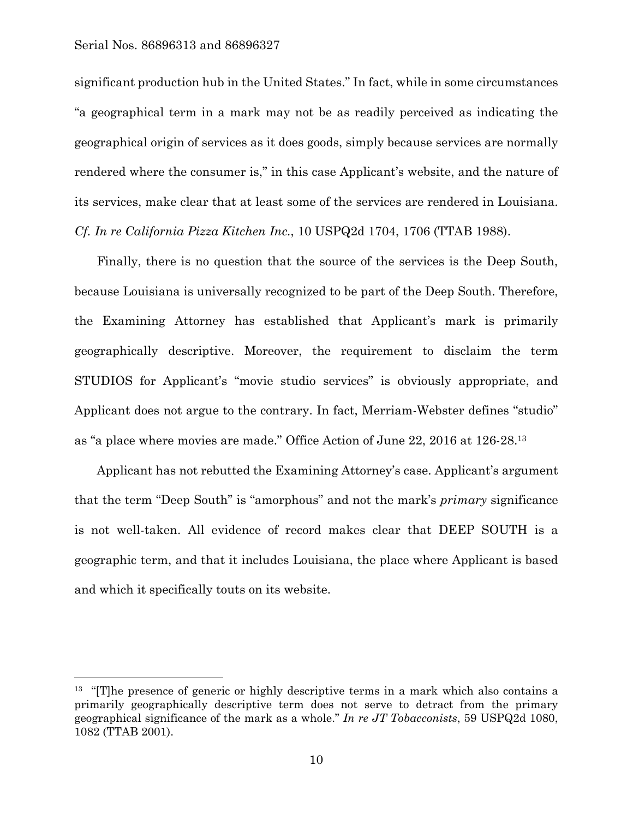$\overline{a}$ 

significant production hub in the United States." In fact, while in some circumstances "a geographical term in a mark may not be as readily perceived as indicating the geographical origin of services as it does goods, simply because services are normally rendered where the consumer is," in this case Applicant's website, and the nature of its services, make clear that at least some of the services are rendered in Louisiana. *Cf. In re California Pizza Kitchen Inc.*, 10 USPQ2d 1704, 1706 (TTAB 1988).

Finally, there is no question that the source of the services is the Deep South, because Louisiana is universally recognized to be part of the Deep South. Therefore, the Examining Attorney has established that Applicant's mark is primarily geographically descriptive. Moreover, the requirement to disclaim the term STUDIOS for Applicant's "movie studio services" is obviously appropriate, and Applicant does not argue to the contrary. In fact, Merriam-Webster defines "studio" as "a place where movies are made." Office Action of June 22, 2016 at 126-28.13

Applicant has not rebutted the Examining Attorney's case. Applicant's argument that the term "Deep South" is "amorphous" and not the mark's *primary* significance is not well-taken. All evidence of record makes clear that DEEP SOUTH is a geographic term, and that it includes Louisiana, the place where Applicant is based and which it specifically touts on its website.

<sup>&</sup>lt;sup>13</sup> "[T]he presence of generic or highly descriptive terms in a mark which also contains a primarily geographically descriptive term does not serve to detract from the primary geographical significance of the mark as a whole." *In re JT Tobacconists*, 59 USPQ2d 1080, 1082 (TTAB 2001).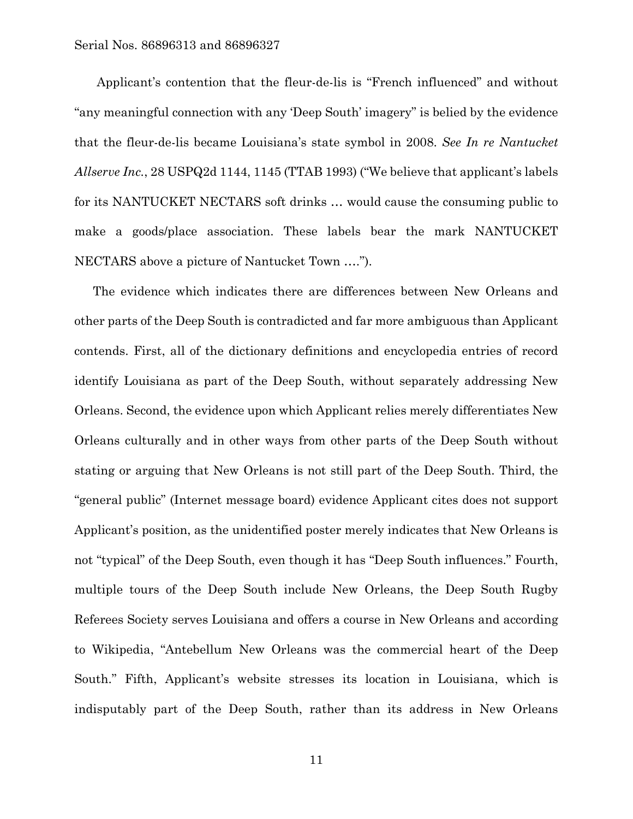Applicant's contention that the fleur-de-lis is "French influenced" and without "any meaningful connection with any 'Deep South' imagery" is belied by the evidence that the fleur-de-lis became Louisiana's state symbol in 2008. *See In re Nantucket Allserve Inc.*, 28 USPQ2d 1144, 1145 (TTAB 1993) ("We believe that applicant's labels for its NANTUCKET NECTARS soft drinks … would cause the consuming public to make a goods/place association. These labels bear the mark NANTUCKET NECTARS above a picture of Nantucket Town ….").

The evidence which indicates there are differences between New Orleans and other parts of the Deep South is contradicted and far more ambiguous than Applicant contends. First, all of the dictionary definitions and encyclopedia entries of record identify Louisiana as part of the Deep South, without separately addressing New Orleans. Second, the evidence upon which Applicant relies merely differentiates New Orleans culturally and in other ways from other parts of the Deep South without stating or arguing that New Orleans is not still part of the Deep South. Third, the "general public" (Internet message board) evidence Applicant cites does not support Applicant's position, as the unidentified poster merely indicates that New Orleans is not "typical" of the Deep South, even though it has "Deep South influences." Fourth, multiple tours of the Deep South include New Orleans, the Deep South Rugby Referees Society serves Louisiana and offers a course in New Orleans and according to Wikipedia, "Antebellum New Orleans was the commercial heart of the Deep South." Fifth, Applicant's website stresses its location in Louisiana, which is indisputably part of the Deep South, rather than its address in New Orleans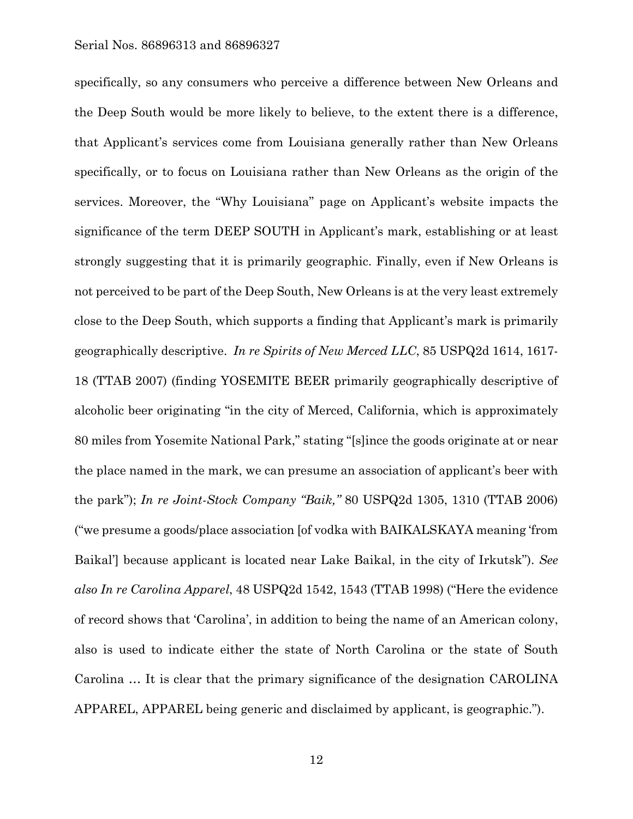specifically, so any consumers who perceive a difference between New Orleans and the Deep South would be more likely to believe, to the extent there is a difference, that Applicant's services come from Louisiana generally rather than New Orleans specifically, or to focus on Louisiana rather than New Orleans as the origin of the services. Moreover, the "Why Louisiana" page on Applicant's website impacts the significance of the term DEEP SOUTH in Applicant's mark, establishing or at least strongly suggesting that it is primarily geographic. Finally, even if New Orleans is not perceived to be part of the Deep South, New Orleans is at the very least extremely close to the Deep South, which supports a finding that Applicant's mark is primarily geographically descriptive. *In re Spirits of New Merced LLC*, 85 USPQ2d 1614, 1617- 18 (TTAB 2007) (finding YOSEMITE BEER primarily geographically descriptive of alcoholic beer originating "in the city of Merced, California, which is approximately 80 miles from Yosemite National Park," stating "[s]ince the goods originate at or near the place named in the mark, we can presume an association of applicant's beer with the park"); *In re Joint-Stock Company "Baik,"* 80 USPQ2d 1305, 1310 (TTAB 2006) ("we presume a goods/place association [of vodka with BAIKALSKAYA meaning 'from Baikal'] because applicant is located near Lake Baikal, in the city of Irkutsk"). *See also In re Carolina Apparel*, 48 USPQ2d 1542, 1543 (TTAB 1998) ("Here the evidence of record shows that 'Carolina', in addition to being the name of an American colony, also is used to indicate either the state of North Carolina or the state of South Carolina … It is clear that the primary significance of the designation CAROLINA APPAREL, APPAREL being generic and disclaimed by applicant, is geographic.").